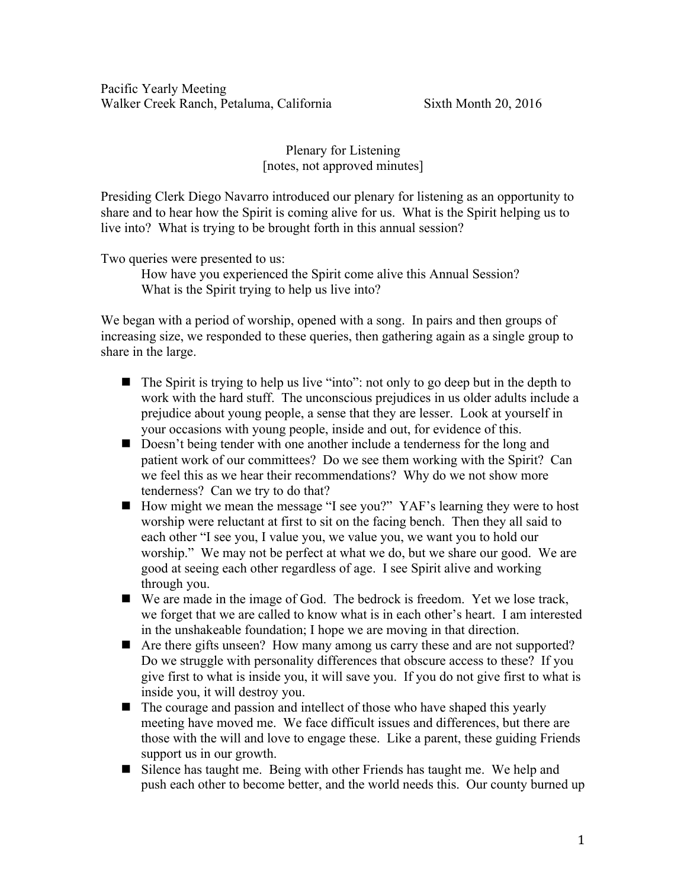Pacific Yearly Meeting Walker Creek Ranch, Petaluma, California Sixth Month 20, 2016

Plenary for Listening [notes, not approved minutes]

Presiding Clerk Diego Navarro introduced our plenary for listening as an opportunity to share and to hear how the Spirit is coming alive for us. What is the Spirit helping us to live into? What is trying to be brought forth in this annual session?

Two queries were presented to us:

How have you experienced the Spirit come alive this Annual Session? What is the Spirit trying to help us live into?

We began with a period of worship, opened with a song. In pairs and then groups of increasing size, we responded to these queries, then gathering again as a single group to share in the large.

- $\blacksquare$  The Spirit is trying to help us live "into": not only to go deep but in the depth to work with the hard stuff. The unconscious prejudices in us older adults include a prejudice about young people, a sense that they are lesser. Look at yourself in your occasions with young people, inside and out, for evidence of this.
- Doesn't being tender with one another include a tenderness for the long and patient work of our committees? Do we see them working with the Spirit? Can we feel this as we hear their recommendations? Why do we not show more tenderness? Can we try to do that?
- How might we mean the message "I see you?" YAF's learning they were to host worship were reluctant at first to sit on the facing bench. Then they all said to each other "I see you, I value you, we value you, we want you to hold our worship." We may not be perfect at what we do, but we share our good. We are good at seeing each other regardless of age. I see Spirit alive and working through you.
- We are made in the image of God. The bedrock is freedom. Yet we lose track, we forget that we are called to know what is in each other's heart. I am interested in the unshakeable foundation; I hope we are moving in that direction.
- Are there gifts unseen? How many among us carry these and are not supported? Do we struggle with personality differences that obscure access to these? If you give first to what is inside you, it will save you. If you do not give first to what is inside you, it will destroy you.
- $\blacksquare$  The courage and passion and intellect of those who have shaped this yearly meeting have moved me. We face difficult issues and differences, but there are those with the will and love to engage these. Like a parent, these guiding Friends support us in our growth.
- Silence has taught me. Being with other Friends has taught me. We help and push each other to become better, and the world needs this. Our county burned up